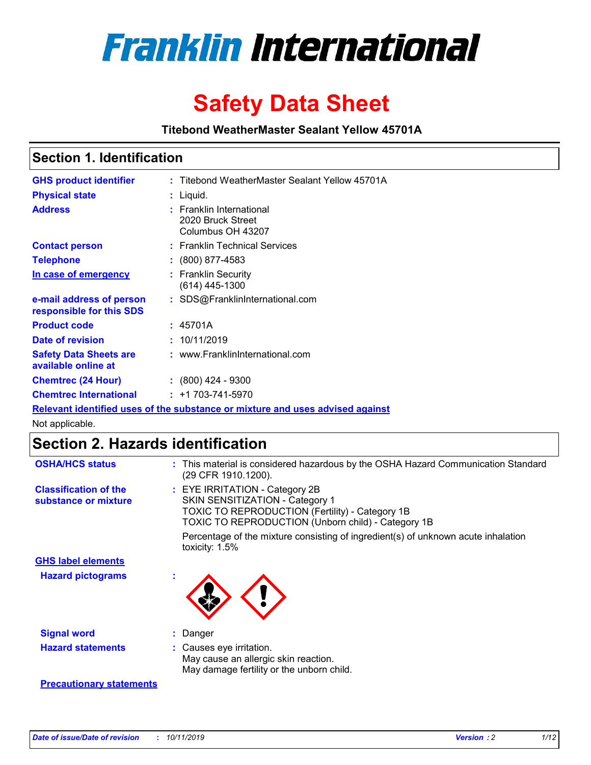

# **Safety Data Sheet**

**Titebond WeatherMaster Sealant Yellow 45701A**

### **Section 1. Identification**

| <b>GHS product identifier</b>                        | : Titebond WeatherMaster Sealant Yellow 45701A                                |
|------------------------------------------------------|-------------------------------------------------------------------------------|
| <b>Physical state</b>                                | $:$ Liquid.                                                                   |
| <b>Address</b>                                       | : Franklin International<br>2020 Bruck Street<br>Columbus OH 43207            |
| <b>Contact person</b>                                | : Franklin Technical Services                                                 |
| <b>Telephone</b>                                     | $\div$ (800) 877-4583                                                         |
| In case of emergency                                 | : Franklin Security<br>(614) 445-1300                                         |
| e-mail address of person<br>responsible for this SDS | : SDS@FranklinInternational.com                                               |
| <b>Product code</b>                                  | : 45701A                                                                      |
| Date of revision                                     | : 10/11/2019                                                                  |
| <b>Safety Data Sheets are</b><br>available online at | : www.FranklinInternational.com                                               |
| <b>Chemtrec (24 Hour)</b>                            | $: (800)$ 424 - 9300                                                          |
| <b>Chemtrec International</b>                        | $: +1703 - 741 - 5970$                                                        |
|                                                      | Relevant identified uses of the substance or mixture and uses advised against |

Not applicable.

## **Section 2. Hazards identification**

| <b>OSHA/HCS status</b>                               | : This material is considered hazardous by the OSHA Hazard Communication Standard<br>(29 CFR 1910.1200).                                                                                 |
|------------------------------------------------------|------------------------------------------------------------------------------------------------------------------------------------------------------------------------------------------|
| <b>Classification of the</b><br>substance or mixture | : EYE IRRITATION - Category 2B<br>SKIN SENSITIZATION - Category 1<br><b>TOXIC TO REPRODUCTION (Fertility) - Category 1B</b><br><b>TOXIC TO REPRODUCTION (Unborn child) - Category 1B</b> |
|                                                      | Percentage of the mixture consisting of ingredient(s) of unknown acute inhalation<br>toxicity: $1.5\%$                                                                                   |
| <b>GHS label elements</b>                            |                                                                                                                                                                                          |
| <b>Hazard pictograms</b>                             |                                                                                                                                                                                          |
| <b>Signal word</b>                                   | : Danger                                                                                                                                                                                 |
| <b>Hazard statements</b>                             | : Causes eye irritation.<br>May cause an allergic skin reaction.<br>May damage fertility or the unborn child.                                                                            |
| <b>Precautionary statements</b>                      |                                                                                                                                                                                          |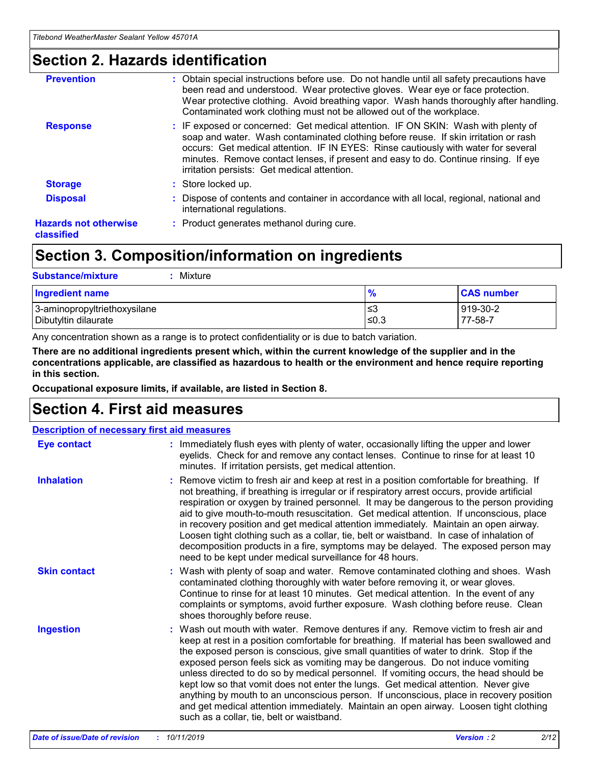### **Section 2. Hazards identification**

| <b>Prevention</b>                          | : Obtain special instructions before use. Do not handle until all safety precautions have<br>been read and understood. Wear protective gloves. Wear eye or face protection.<br>Wear protective clothing. Avoid breathing vapor. Wash hands thoroughly after handling.<br>Contaminated work clothing must not be allowed out of the workplace.                                                        |
|--------------------------------------------|------------------------------------------------------------------------------------------------------------------------------------------------------------------------------------------------------------------------------------------------------------------------------------------------------------------------------------------------------------------------------------------------------|
| <b>Response</b>                            | : IF exposed or concerned: Get medical attention. IF ON SKIN: Wash with plenty of<br>soap and water. Wash contaminated clothing before reuse. If skin irritation or rash<br>occurs: Get medical attention. IF IN EYES: Rinse cautiously with water for several<br>minutes. Remove contact lenses, if present and easy to do. Continue rinsing. If eye<br>irritation persists: Get medical attention. |
| <b>Storage</b>                             | : Store locked up.                                                                                                                                                                                                                                                                                                                                                                                   |
| <b>Disposal</b>                            | : Dispose of contents and container in accordance with all local, regional, national and<br>international regulations.                                                                                                                                                                                                                                                                               |
| <b>Hazards not otherwise</b><br>classified | : Product generates methanol during cure.                                                                                                                                                                                                                                                                                                                                                            |
|                                            |                                                                                                                                                                                                                                                                                                                                                                                                      |

### **Section 3. Composition/information on ingredients**

| <b>Substance/mixture</b><br>Mixture                  |                   |                     |
|------------------------------------------------------|-------------------|---------------------|
| <b>Ingredient name</b>                               | $\frac{9}{6}$     | <b>CAS number</b>   |
| 3-aminopropyltriethoxysilane<br>Dibutyltin dilaurate | l≤3<br>$\leq 0.3$ | 919-30-2<br>77-58-7 |

Any concentration shown as a range is to protect confidentiality or is due to batch variation.

**There are no additional ingredients present which, within the current knowledge of the supplier and in the concentrations applicable, are classified as hazardous to health or the environment and hence require reporting in this section.**

**Occupational exposure limits, if available, are listed in Section 8.**

### **Section 4. First aid measures**

| <b>Description of necessary first aid measures</b> |                                                                                                                                                                                                                                                                                                                                                                                                                                                                                                                                                                                                                                                                                                                                                                           |  |  |  |
|----------------------------------------------------|---------------------------------------------------------------------------------------------------------------------------------------------------------------------------------------------------------------------------------------------------------------------------------------------------------------------------------------------------------------------------------------------------------------------------------------------------------------------------------------------------------------------------------------------------------------------------------------------------------------------------------------------------------------------------------------------------------------------------------------------------------------------------|--|--|--|
| <b>Eye contact</b>                                 | : Immediately flush eyes with plenty of water, occasionally lifting the upper and lower<br>eyelids. Check for and remove any contact lenses. Continue to rinse for at least 10<br>minutes. If irritation persists, get medical attention.                                                                                                                                                                                                                                                                                                                                                                                                                                                                                                                                 |  |  |  |
| <b>Inhalation</b>                                  | : Remove victim to fresh air and keep at rest in a position comfortable for breathing. If<br>not breathing, if breathing is irregular or if respiratory arrest occurs, provide artificial<br>respiration or oxygen by trained personnel. It may be dangerous to the person providing<br>aid to give mouth-to-mouth resuscitation. Get medical attention. If unconscious, place<br>in recovery position and get medical attention immediately. Maintain an open airway.<br>Loosen tight clothing such as a collar, tie, belt or waistband. In case of inhalation of<br>decomposition products in a fire, symptoms may be delayed. The exposed person may<br>need to be kept under medical surveillance for 48 hours.                                                       |  |  |  |
| <b>Skin contact</b>                                | : Wash with plenty of soap and water. Remove contaminated clothing and shoes. Wash<br>contaminated clothing thoroughly with water before removing it, or wear gloves.<br>Continue to rinse for at least 10 minutes. Get medical attention. In the event of any<br>complaints or symptoms, avoid further exposure. Wash clothing before reuse. Clean<br>shoes thoroughly before reuse.                                                                                                                                                                                                                                                                                                                                                                                     |  |  |  |
| <b>Ingestion</b>                                   | : Wash out mouth with water. Remove dentures if any. Remove victim to fresh air and<br>keep at rest in a position comfortable for breathing. If material has been swallowed and<br>the exposed person is conscious, give small quantities of water to drink. Stop if the<br>exposed person feels sick as vomiting may be dangerous. Do not induce vomiting<br>unless directed to do so by medical personnel. If vomiting occurs, the head should be<br>kept low so that vomit does not enter the lungs. Get medical attention. Never give<br>anything by mouth to an unconscious person. If unconscious, place in recovery position<br>and get medical attention immediately. Maintain an open airway. Loosen tight clothing<br>such as a collar, tie, belt or waistband. |  |  |  |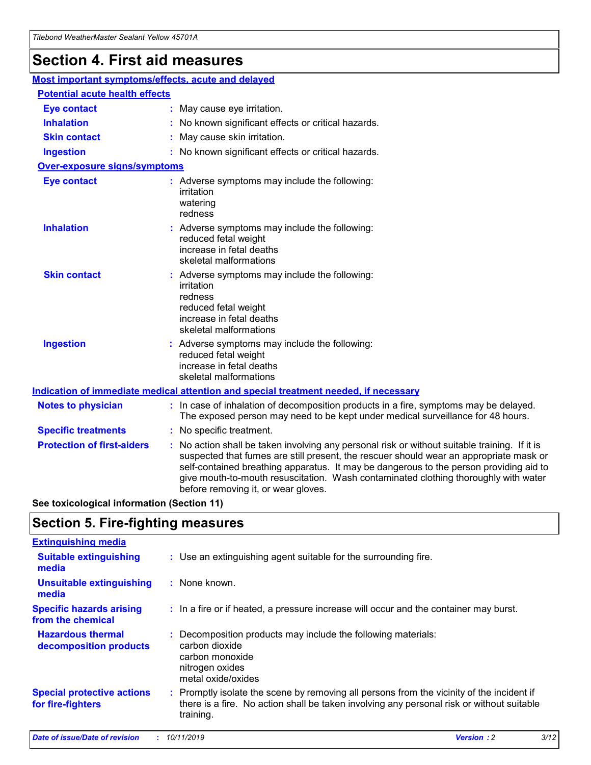## **Section 4. First aid measures**

| Most important symptoms/effects, acute and delayed |                                       |                                                                                                                                                                                                                                                                                                                                                                                                                 |  |  |  |
|----------------------------------------------------|---------------------------------------|-----------------------------------------------------------------------------------------------------------------------------------------------------------------------------------------------------------------------------------------------------------------------------------------------------------------------------------------------------------------------------------------------------------------|--|--|--|
|                                                    | <b>Potential acute health effects</b> |                                                                                                                                                                                                                                                                                                                                                                                                                 |  |  |  |
| <b>Eye contact</b>                                 |                                       | : May cause eye irritation.                                                                                                                                                                                                                                                                                                                                                                                     |  |  |  |
| <b>Inhalation</b>                                  |                                       | : No known significant effects or critical hazards.                                                                                                                                                                                                                                                                                                                                                             |  |  |  |
| <b>Skin contact</b>                                |                                       | : May cause skin irritation.                                                                                                                                                                                                                                                                                                                                                                                    |  |  |  |
| <b>Ingestion</b>                                   |                                       | : No known significant effects or critical hazards.                                                                                                                                                                                                                                                                                                                                                             |  |  |  |
| <b>Over-exposure signs/symptoms</b>                |                                       |                                                                                                                                                                                                                                                                                                                                                                                                                 |  |  |  |
| <b>Eye contact</b>                                 |                                       | : Adverse symptoms may include the following:<br>irritation<br>watering<br>redness                                                                                                                                                                                                                                                                                                                              |  |  |  |
| <b>Inhalation</b>                                  |                                       | : Adverse symptoms may include the following:<br>reduced fetal weight<br>increase in fetal deaths<br>skeletal malformations                                                                                                                                                                                                                                                                                     |  |  |  |
| <b>Skin contact</b>                                |                                       | : Adverse symptoms may include the following:<br>irritation<br>redness<br>reduced fetal weight<br>increase in fetal deaths<br>skeletal malformations                                                                                                                                                                                                                                                            |  |  |  |
| <b>Ingestion</b>                                   |                                       | : Adverse symptoms may include the following:<br>reduced fetal weight<br>increase in fetal deaths<br>skeletal malformations                                                                                                                                                                                                                                                                                     |  |  |  |
|                                                    |                                       | <b>Indication of immediate medical attention and special treatment needed, if necessary</b>                                                                                                                                                                                                                                                                                                                     |  |  |  |
| <b>Notes to physician</b>                          |                                       | : In case of inhalation of decomposition products in a fire, symptoms may be delayed.<br>The exposed person may need to be kept under medical surveillance for 48 hours.                                                                                                                                                                                                                                        |  |  |  |
| <b>Specific treatments</b>                         |                                       | : No specific treatment.                                                                                                                                                                                                                                                                                                                                                                                        |  |  |  |
| <b>Protection of first-aiders</b>                  |                                       | : No action shall be taken involving any personal risk or without suitable training. If it is<br>suspected that fumes are still present, the rescuer should wear an appropriate mask or<br>self-contained breathing apparatus. It may be dangerous to the person providing aid to<br>give mouth-to-mouth resuscitation. Wash contaminated clothing thoroughly with water<br>before removing it, or wear gloves. |  |  |  |

**See toxicological information (Section 11)**

### **Section 5. Fire-fighting measures**

| <b>Extinguishing media</b>                             |                                                                                                                                                                                                     |
|--------------------------------------------------------|-----------------------------------------------------------------------------------------------------------------------------------------------------------------------------------------------------|
| <b>Suitable extinguishing</b><br>media                 | : Use an extinguishing agent suitable for the surrounding fire.                                                                                                                                     |
| <b>Unsuitable extinguishing</b><br>media               | : None known.                                                                                                                                                                                       |
| <b>Specific hazards arising</b><br>from the chemical   | : In a fire or if heated, a pressure increase will occur and the container may burst.                                                                                                               |
| <b>Hazardous thermal</b><br>decomposition products     | : Decomposition products may include the following materials:<br>carbon dioxide<br>carbon monoxide<br>nitrogen oxides<br>metal oxide/oxides                                                         |
| <b>Special protective actions</b><br>for fire-fighters | : Promptly isolate the scene by removing all persons from the vicinity of the incident if<br>there is a fire. No action shall be taken involving any personal risk or without suitable<br>training. |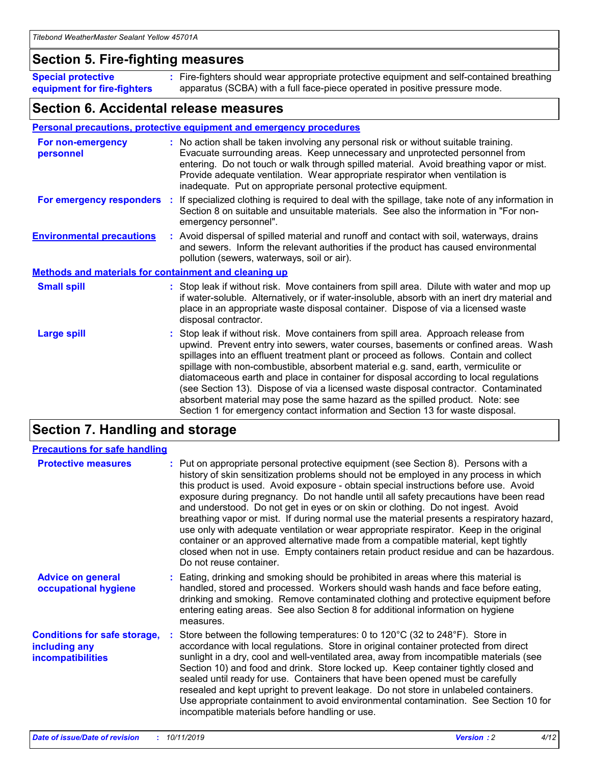### **Section 5. Fire-fighting measures**

**Special protective equipment for fire-fighters** Fire-fighters should wear appropriate protective equipment and self-contained breathing **:** apparatus (SCBA) with a full face-piece operated in positive pressure mode.

### **Section 6. Accidental release measures**

### **Personal precautions, protective equipment and emergency procedures**

| For non-emergency<br>personnel                               | : No action shall be taken involving any personal risk or without suitable training.<br>Evacuate surrounding areas. Keep unnecessary and unprotected personnel from<br>entering. Do not touch or walk through spilled material. Avoid breathing vapor or mist.<br>Provide adequate ventilation. Wear appropriate respirator when ventilation is<br>inadequate. Put on appropriate personal protective equipment.                                                                                                                                                                                                                                                                                             |
|--------------------------------------------------------------|--------------------------------------------------------------------------------------------------------------------------------------------------------------------------------------------------------------------------------------------------------------------------------------------------------------------------------------------------------------------------------------------------------------------------------------------------------------------------------------------------------------------------------------------------------------------------------------------------------------------------------------------------------------------------------------------------------------|
| For emergency responders                                     | : If specialized clothing is required to deal with the spillage, take note of any information in<br>Section 8 on suitable and unsuitable materials. See also the information in "For non-<br>emergency personnel".                                                                                                                                                                                                                                                                                                                                                                                                                                                                                           |
| <b>Environmental precautions</b>                             | : Avoid dispersal of spilled material and runoff and contact with soil, waterways, drains<br>and sewers. Inform the relevant authorities if the product has caused environmental<br>pollution (sewers, waterways, soil or air).                                                                                                                                                                                                                                                                                                                                                                                                                                                                              |
| <b>Methods and materials for containment and cleaning up</b> |                                                                                                                                                                                                                                                                                                                                                                                                                                                                                                                                                                                                                                                                                                              |
| <b>Small spill</b>                                           | : Stop leak if without risk. Move containers from spill area. Dilute with water and mop up<br>if water-soluble. Alternatively, or if water-insoluble, absorb with an inert dry material and<br>place in an appropriate waste disposal container. Dispose of via a licensed waste<br>disposal contractor.                                                                                                                                                                                                                                                                                                                                                                                                     |
| <b>Large spill</b>                                           | : Stop leak if without risk. Move containers from spill area. Approach release from<br>upwind. Prevent entry into sewers, water courses, basements or confined areas. Wash<br>spillages into an effluent treatment plant or proceed as follows. Contain and collect<br>spillage with non-combustible, absorbent material e.g. sand, earth, vermiculite or<br>diatomaceous earth and place in container for disposal according to local regulations<br>(see Section 13). Dispose of via a licensed waste disposal contractor. Contaminated<br>absorbent material may pose the same hazard as the spilled product. Note: see<br>Section 1 for emergency contact information and Section 13 for waste disposal. |

### **Section 7. Handling and storage**

| <b>Precautions for safe handling</b>                                             |                                                                                                                                                                                                                                                                                                                                                                                                                                                                                                                                                                                                                                                                                                                                                                                                                                                  |
|----------------------------------------------------------------------------------|--------------------------------------------------------------------------------------------------------------------------------------------------------------------------------------------------------------------------------------------------------------------------------------------------------------------------------------------------------------------------------------------------------------------------------------------------------------------------------------------------------------------------------------------------------------------------------------------------------------------------------------------------------------------------------------------------------------------------------------------------------------------------------------------------------------------------------------------------|
| <b>Protective measures</b>                                                       | : Put on appropriate personal protective equipment (see Section 8). Persons with a<br>history of skin sensitization problems should not be employed in any process in which<br>this product is used. Avoid exposure - obtain special instructions before use. Avoid<br>exposure during pregnancy. Do not handle until all safety precautions have been read<br>and understood. Do not get in eyes or on skin or clothing. Do not ingest. Avoid<br>breathing vapor or mist. If during normal use the material presents a respiratory hazard,<br>use only with adequate ventilation or wear appropriate respirator. Keep in the original<br>container or an approved alternative made from a compatible material, kept tightly<br>closed when not in use. Empty containers retain product residue and can be hazardous.<br>Do not reuse container. |
| <b>Advice on general</b><br>occupational hygiene                                 | : Eating, drinking and smoking should be prohibited in areas where this material is<br>handled, stored and processed. Workers should wash hands and face before eating,<br>drinking and smoking. Remove contaminated clothing and protective equipment before<br>entering eating areas. See also Section 8 for additional information on hygiene<br>measures.                                                                                                                                                                                                                                                                                                                                                                                                                                                                                    |
| <b>Conditions for safe storage,</b><br>including any<br><b>incompatibilities</b> | Store between the following temperatures: 0 to 120 $\degree$ C (32 to 248 $\degree$ F). Store in<br>accordance with local regulations. Store in original container protected from direct<br>sunlight in a dry, cool and well-ventilated area, away from incompatible materials (see<br>Section 10) and food and drink. Store locked up. Keep container tightly closed and<br>sealed until ready for use. Containers that have been opened must be carefully<br>resealed and kept upright to prevent leakage. Do not store in unlabeled containers.<br>Use appropriate containment to avoid environmental contamination. See Section 10 for<br>incompatible materials before handling or use.                                                                                                                                                     |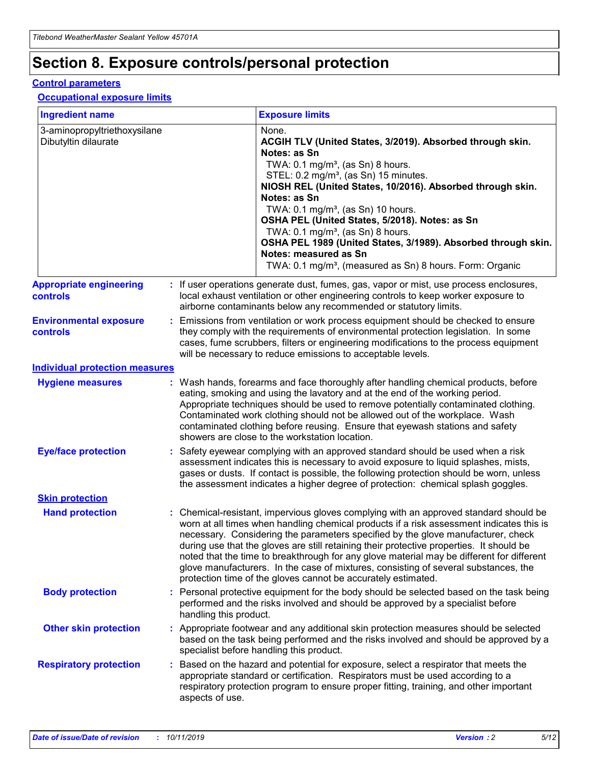## **Section 8. Exposure controls/personal protection**

#### **Control parameters**

### **Occupational exposure limits**

| <b>Ingredient name</b>                               |    |                        | <b>Exposure limits</b>                                                                                                                                                                                                                                                                                                                                                                                                                                                                                                                                                                                                 |
|------------------------------------------------------|----|------------------------|------------------------------------------------------------------------------------------------------------------------------------------------------------------------------------------------------------------------------------------------------------------------------------------------------------------------------------------------------------------------------------------------------------------------------------------------------------------------------------------------------------------------------------------------------------------------------------------------------------------------|
| 3-aminopropyltriethoxysilane<br>Dibutyltin dilaurate |    |                        | None.<br>ACGIH TLV (United States, 3/2019). Absorbed through skin.<br>Notes: as Sn<br>TWA: $0.1 \text{ mg/m}^3$ , (as Sn) 8 hours.<br>STEL: 0.2 mg/m <sup>3</sup> , (as Sn) 15 minutes.<br>NIOSH REL (United States, 10/2016). Absorbed through skin.<br>Notes: as Sn<br>TWA: 0.1 mg/m <sup>3</sup> , (as Sn) 10 hours.<br>OSHA PEL (United States, 5/2018). Notes: as Sn<br>TWA: 0.1 mg/m <sup>3</sup> , (as Sn) 8 hours.<br>OSHA PEL 1989 (United States, 3/1989). Absorbed through skin.<br>Notes: measured as Sn<br>TWA: 0.1 mg/m <sup>3</sup> , (measured as Sn) 8 hours. Form: Organic                           |
| <b>Appropriate engineering</b><br>controls           |    |                        | : If user operations generate dust, fumes, gas, vapor or mist, use process enclosures,<br>local exhaust ventilation or other engineering controls to keep worker exposure to<br>airborne contaminants below any recommended or statutory limits.                                                                                                                                                                                                                                                                                                                                                                       |
| <b>Environmental exposure</b><br>controls            |    |                        | Emissions from ventilation or work process equipment should be checked to ensure<br>they comply with the requirements of environmental protection legislation. In some<br>cases, fume scrubbers, filters or engineering modifications to the process equipment<br>will be necessary to reduce emissions to acceptable levels.                                                                                                                                                                                                                                                                                          |
| <b>Individual protection measures</b>                |    |                        |                                                                                                                                                                                                                                                                                                                                                                                                                                                                                                                                                                                                                        |
| <b>Hygiene measures</b>                              |    |                        | : Wash hands, forearms and face thoroughly after handling chemical products, before<br>eating, smoking and using the lavatory and at the end of the working period.<br>Appropriate techniques should be used to remove potentially contaminated clothing.<br>Contaminated work clothing should not be allowed out of the workplace. Wash<br>contaminated clothing before reusing. Ensure that eyewash stations and safety<br>showers are close to the workstation location.                                                                                                                                            |
| <b>Eye/face protection</b>                           |    |                        | Safety eyewear complying with an approved standard should be used when a risk<br>assessment indicates this is necessary to avoid exposure to liquid splashes, mists,<br>gases or dusts. If contact is possible, the following protection should be worn, unless<br>the assessment indicates a higher degree of protection: chemical splash goggles.                                                                                                                                                                                                                                                                    |
| <b>Skin protection</b>                               |    |                        |                                                                                                                                                                                                                                                                                                                                                                                                                                                                                                                                                                                                                        |
| <b>Hand protection</b>                               |    |                        | : Chemical-resistant, impervious gloves complying with an approved standard should be<br>worn at all times when handling chemical products if a risk assessment indicates this is<br>necessary. Considering the parameters specified by the glove manufacturer, check<br>during use that the gloves are still retaining their protective properties. It should be<br>noted that the time to breakthrough for any glove material may be different for different<br>glove manufacturers. In the case of mixtures, consisting of several substances, the<br>protection time of the gloves cannot be accurately estimated. |
| <b>Body protection</b>                               |    | handling this product. | Personal protective equipment for the body should be selected based on the task being<br>performed and the risks involved and should be approved by a specialist before                                                                                                                                                                                                                                                                                                                                                                                                                                                |
| <b>Other skin protection</b>                         |    |                        | : Appropriate footwear and any additional skin protection measures should be selected<br>based on the task being performed and the risks involved and should be approved by a<br>specialist before handling this product.                                                                                                                                                                                                                                                                                                                                                                                              |
| <b>Respiratory protection</b>                        | ÷. | aspects of use.        | Based on the hazard and potential for exposure, select a respirator that meets the<br>appropriate standard or certification. Respirators must be used according to a<br>respiratory protection program to ensure proper fitting, training, and other important                                                                                                                                                                                                                                                                                                                                                         |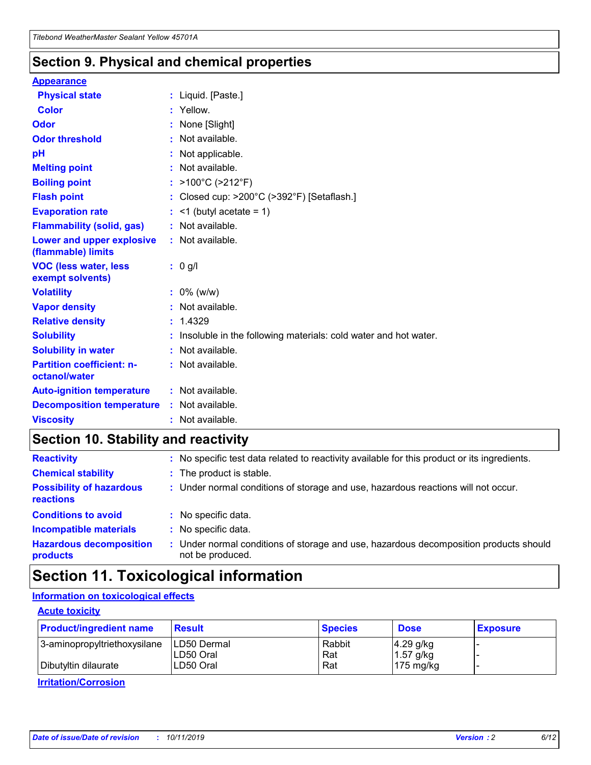### **Section 9. Physical and chemical properties**

#### **Appearance**

| <b>Physical state</b>                             | : Liquid. [Paste.]                                              |
|---------------------------------------------------|-----------------------------------------------------------------|
| Color                                             | Yellow.                                                         |
| Odor                                              | : None [Slight]                                                 |
| <b>Odor threshold</b>                             | $:$ Not available.                                              |
| рH                                                | : Not applicable.                                               |
| <b>Melting point</b>                              | : Not available.                                                |
| <b>Boiling point</b>                              | : >100°C (>212°F)                                               |
| <b>Flash point</b>                                | : Closed cup: $>200^{\circ}$ C ( $>392^{\circ}$ F) [Setaflash.] |
| <b>Evaporation rate</b>                           | $:$ <1 (butyl acetate = 1)                                      |
| <b>Flammability (solid, gas)</b>                  | : Not available.                                                |
| Lower and upper explosive<br>(flammable) limits   | : Not available.                                                |
| <b>VOC (less water, less</b><br>exempt solvents)  | : 0 g/l                                                         |
| <b>Volatility</b>                                 | $: 0\%$ (w/w)                                                   |
| <b>Vapor density</b>                              | : Not available.                                                |
| <b>Relative density</b>                           | : 1.4329                                                        |
| <b>Solubility</b>                                 | Insoluble in the following materials: cold water and hot water. |
| <b>Solubility in water</b>                        | : Not available.                                                |
| <b>Partition coefficient: n-</b><br>octanol/water | $:$ Not available.                                              |
| <b>Auto-ignition temperature</b>                  | : Not available.                                                |
|                                                   |                                                                 |
| <b>Decomposition temperature</b>                  | : Not available.                                                |

### **Section 10. Stability and reactivity**

| <b>Reactivity</b>                            |    | : No specific test data related to reactivity available for this product or its ingredients.            |
|----------------------------------------------|----|---------------------------------------------------------------------------------------------------------|
| <b>Chemical stability</b>                    |    | : The product is stable.                                                                                |
| <b>Possibility of hazardous</b><br>reactions |    | : Under normal conditions of storage and use, hazardous reactions will not occur.                       |
| <b>Conditions to avoid</b>                   |    | : No specific data.                                                                                     |
| <b>Incompatible materials</b>                | ٠. | No specific data.                                                                                       |
| <b>Hazardous decomposition</b><br>products   | ÷. | Under normal conditions of storage and use, hazardous decomposition products should<br>not be produced. |

### **Section 11. Toxicological information**

### **Information on toxicological effects**

### **Acute toxicity**

| <b>Product/ingredient name</b> | <b>Result</b>           | <b>Species</b> | <b>Dose</b>                | <b>Exposure</b> |
|--------------------------------|-------------------------|----------------|----------------------------|-----------------|
| 3-aminopropyltriethoxysilane   | <b>ILD50 Dermal</b>     | Rabbit         | 4.29 g/kg                  |                 |
| Dibutyltin dilaurate           | ILD50 Oral<br>LD50 Oral | Rat<br>Rat     | $1.57$ g/kg<br>175 $mg/kg$ |                 |
|                                |                         |                |                            |                 |

**Irritation/Corrosion**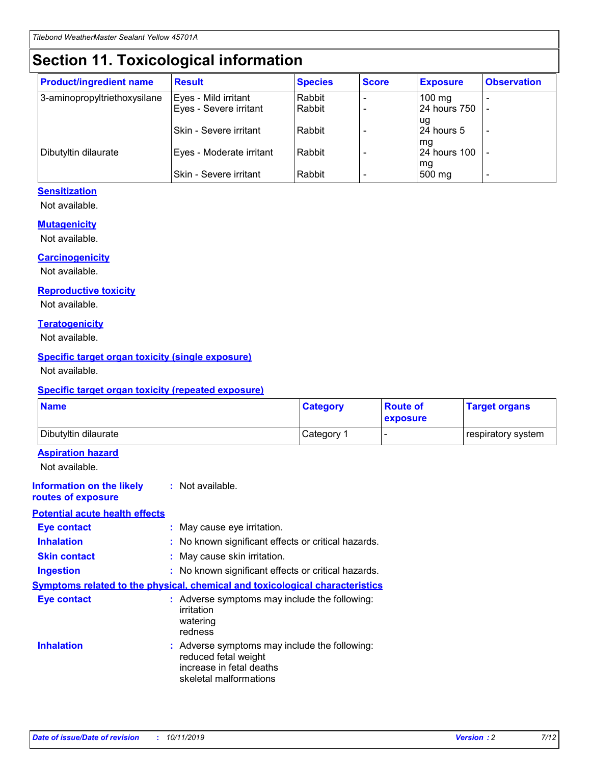## **Section 11. Toxicological information**

| <b>Product/ingredient name</b> | <b>Result</b>                 | <b>Species</b> | <b>Score</b> | <b>Exposure</b>    | <b>Observation</b> |
|--------------------------------|-------------------------------|----------------|--------------|--------------------|--------------------|
| 3-aminopropyltriethoxysilane   | Eyes - Mild irritant          | Rabbit         |              | $100$ mg           |                    |
|                                | Eyes - Severe irritant        | Rabbit         |              | 24 hours 750       |                    |
|                                |                               |                |              | ug                 |                    |
|                                | <b>Skin - Severe irritant</b> | Rabbit         |              | 24 hours 5         | ۰                  |
| Dibutyltin dilaurate           | Eyes - Moderate irritant      | Rabbit         |              | mq<br>24 hours 100 |                    |
|                                |                               |                |              | mg                 |                    |
|                                | Skin - Severe irritant        | Rabbit         |              | 500 mg             |                    |

### **Sensitization**

Not available.

#### **Mutagenicity**

Not available.

#### **Carcinogenicity**

Not available.

#### **Reproductive toxicity**

Not available.

#### **Teratogenicity**

Not available.

#### **Specific target organ toxicity (single exposure)**

Not available.

#### **Specific target organ toxicity (repeated exposure)**

| <b>Name</b>                                                                  |                                                                            | <b>Category</b>                                     | <b>Route of</b><br>exposure | <b>Target organs</b> |
|------------------------------------------------------------------------------|----------------------------------------------------------------------------|-----------------------------------------------------|-----------------------------|----------------------|
| Dibutyltin dilaurate                                                         |                                                                            | Category 1                                          | -                           | respiratory system   |
| <b>Aspiration hazard</b><br>Not available.                                   |                                                                            |                                                     |                             |                      |
| <b>Information on the likely</b><br>routes of exposure                       | : Not available.                                                           |                                                     |                             |                      |
| <b>Potential acute health effects</b>                                        |                                                                            |                                                     |                             |                      |
| <b>Eye contact</b>                                                           | : May cause eye irritation.                                                |                                                     |                             |                      |
| <b>Inhalation</b>                                                            |                                                                            | : No known significant effects or critical hazards. |                             |                      |
| <b>Skin contact</b>                                                          | : May cause skin irritation.                                               |                                                     |                             |                      |
| <b>Ingestion</b>                                                             |                                                                            | : No known significant effects or critical hazards. |                             |                      |
| Symptoms related to the physical, chemical and toxicological characteristics |                                                                            |                                                     |                             |                      |
| <b>Eye contact</b>                                                           | irritation<br>watering<br>redness                                          | : Adverse symptoms may include the following:       |                             |                      |
| <b>Inhalation</b>                                                            | reduced fetal weight<br>increase in fetal deaths<br>skeletal malformations | : Adverse symptoms may include the following:       |                             |                      |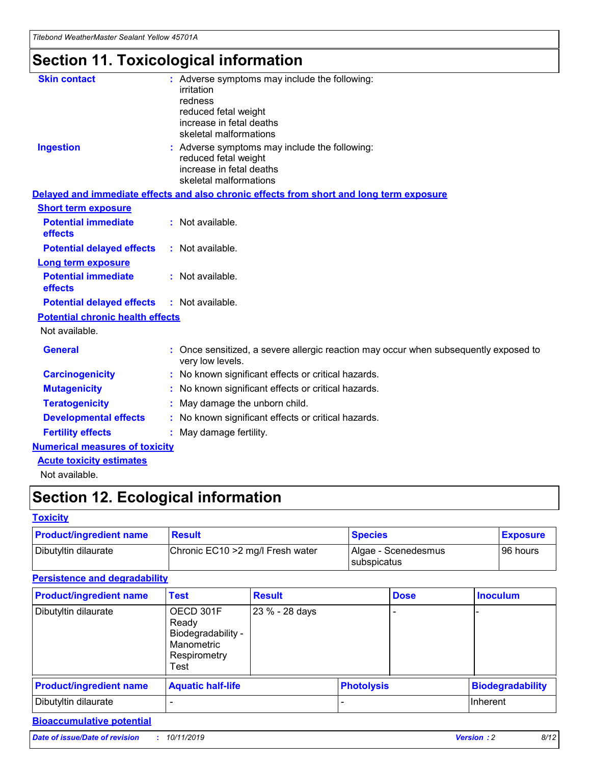## **Section 11. Toxicological information**

| <b>Skin contact</b>                     |                                                                                                          |
|-----------------------------------------|----------------------------------------------------------------------------------------------------------|
|                                         | : Adverse symptoms may include the following:<br>irritation                                              |
|                                         | redness                                                                                                  |
|                                         | reduced fetal weight                                                                                     |
|                                         | increase in fetal deaths                                                                                 |
|                                         | skeletal malformations                                                                                   |
| <b>Ingestion</b>                        | : Adverse symptoms may include the following:                                                            |
|                                         | reduced fetal weight                                                                                     |
|                                         | increase in fetal deaths                                                                                 |
|                                         | skeletal malformations                                                                                   |
|                                         | Delayed and immediate effects and also chronic effects from short and long term exposure                 |
| <b>Short term exposure</b>              |                                                                                                          |
| <b>Potential immediate</b>              | : Not available.                                                                                         |
| effects                                 |                                                                                                          |
| <b>Potential delayed effects</b>        | : Not available.                                                                                         |
| <b>Long term exposure</b>               |                                                                                                          |
| <b>Potential immediate</b>              | : Not available.                                                                                         |
| effects                                 |                                                                                                          |
| <b>Potential delayed effects</b>        | : Not available.                                                                                         |
| <b>Potential chronic health effects</b> |                                                                                                          |
| Not available.                          |                                                                                                          |
| <b>General</b>                          | : Once sensitized, a severe allergic reaction may occur when subsequently exposed to<br>very low levels. |
| <b>Carcinogenicity</b>                  | : No known significant effects or critical hazards.                                                      |
| <b>Mutagenicity</b>                     | No known significant effects or critical hazards.                                                        |
| <b>Teratogenicity</b>                   | May damage the unborn child.                                                                             |
| <b>Developmental effects</b>            | No known significant effects or critical hazards.                                                        |
| <b>Fertility effects</b>                | : May damage fertility.                                                                                  |
| <b>Numerical measures of toxicity</b>   |                                                                                                          |
| <b>Acute toxicity estimates</b>         |                                                                                                          |
|                                         |                                                                                                          |

Not available.

## **Section 12. Ecological information**

#### **Toxicity**

| <b>Product/ingredient name</b> | <b>Result</b>                     | <b>Species</b>                       | <b>Exposure</b> |
|--------------------------------|-----------------------------------|--------------------------------------|-----------------|
| Dibutyltin dilaurate           | Chronic EC10 > 2 mg/l Fresh water | Algae - Scenedesmus<br>I subspicatus | l 96 hours      |

### **Persistence and degradability**

| <b>Product/ingredient name</b> | <b>Test</b>                                                                    | <b>Result</b>  |                   | <b>Dose</b> | <b>Inoculum</b>         |
|--------------------------------|--------------------------------------------------------------------------------|----------------|-------------------|-------------|-------------------------|
| Dibutyltin dilaurate           | OECD 301F<br>Ready<br>Biodegradability -<br>Manometric<br>Respirometry<br>Test | 23 % - 28 days |                   |             |                         |
| <b>Product/ingredient name</b> | <b>Aquatic half-life</b>                                                       |                | <b>Photolysis</b> |             | <b>Biodegradability</b> |
| Dibutyltin dilaurate           |                                                                                |                |                   |             | Inherent                |

### **Bioaccumulative potential**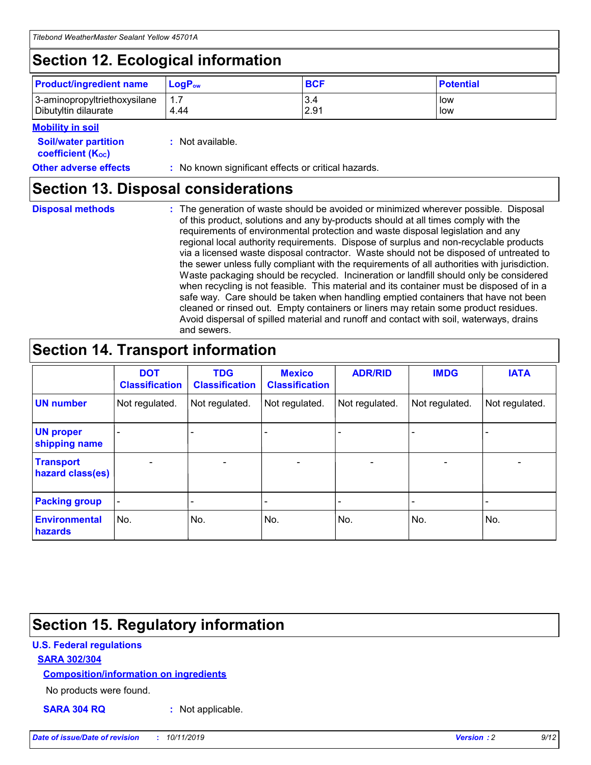## **Section 12. Ecological information**

| <b>Product/ingredient name</b>                       | ∣LoqP <sub>ow</sub> | <b>BCF</b>  | <b>Potential</b> |
|------------------------------------------------------|---------------------|-------------|------------------|
| 3-aminopropyltriethoxysilane<br>Dibutyltin dilaurate | 1.1<br>4.44         | 3.4<br>2.91 | low<br>low       |

### **Mobility in soil**

| <b>Soil/water partition</b><br>coefficient (K <sub>oc</sub> ) | : Not available.                                    |
|---------------------------------------------------------------|-----------------------------------------------------|
| <b>Other adverse effects</b>                                  | : No known significant effects or critical hazards. |

### **Section 13. Disposal considerations**

|  | <b>Disposal methods</b> |  |
|--|-------------------------|--|

**Disposal methods** : The generation of waste should be avoided or minimized wherever possible. Disposal of this product, solutions and any by-products should at all times comply with the requirements of environmental protection and waste disposal legislation and any regional local authority requirements. Dispose of surplus and non-recyclable products via a licensed waste disposal contractor. Waste should not be disposed of untreated to the sewer unless fully compliant with the requirements of all authorities with jurisdiction. Waste packaging should be recycled. Incineration or landfill should only be considered when recycling is not feasible. This material and its container must be disposed of in a safe way. Care should be taken when handling emptied containers that have not been cleaned or rinsed out. Empty containers or liners may retain some product residues. Avoid dispersal of spilled material and runoff and contact with soil, waterways, drains and sewers.

## **Section 14. Transport information**

|                                      | <b>DOT</b><br><b>Classification</b> | <b>TDG</b><br><b>Classification</b> | <b>Mexico</b><br><b>Classification</b> | <b>ADR/RID</b>           | <b>IMDG</b>              | <b>IATA</b>              |
|--------------------------------------|-------------------------------------|-------------------------------------|----------------------------------------|--------------------------|--------------------------|--------------------------|
| <b>UN number</b>                     | Not regulated.                      | Not regulated.                      | Not regulated.                         | Not regulated.           | Not regulated.           | Not regulated.           |
| <b>UN proper</b><br>shipping name    | $\qquad \qquad \blacksquare$        |                                     |                                        |                          |                          |                          |
| <b>Transport</b><br>hazard class(es) | $\blacksquare$                      | $\blacksquare$                      | $\blacksquare$                         | $\overline{\phantom{a}}$ | $\blacksquare$           | $\blacksquare$           |
| <b>Packing group</b>                 | $\overline{\phantom{a}}$            | $\overline{\phantom{0}}$            | $\qquad \qquad \blacksquare$           | -                        | $\overline{\phantom{0}}$ | $\overline{\phantom{a}}$ |
| <b>Environmental</b><br>hazards      | No.                                 | No.                                 | No.                                    | No.                      | No.                      | No.                      |

## **Section 15. Regulatory information**

### **U.S. Federal regulations**

### **SARA 302/304**

#### **Composition/information on ingredients**

No products were found.

**SARA 304 RQ :** Not applicable.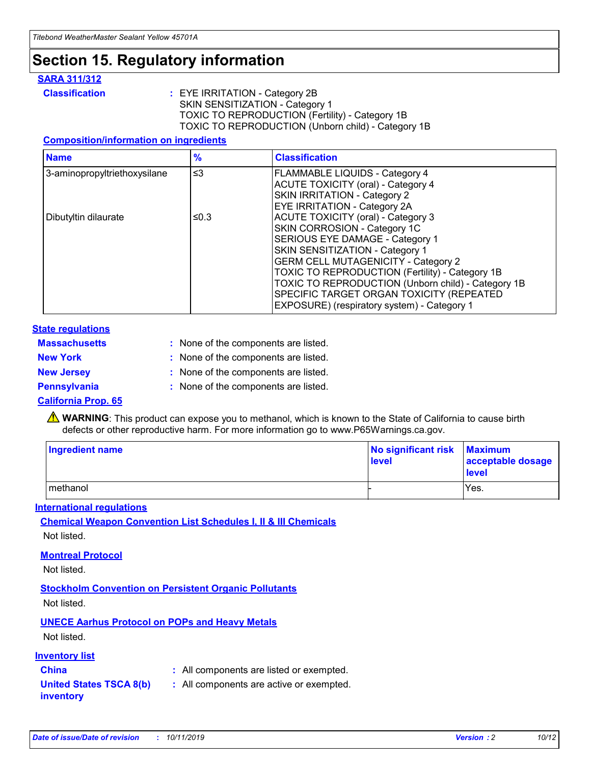## **Section 15. Regulatory information**

### **SARA 311/312**

**Classification :** EYE IRRITATION - Category 2B SKIN SENSITIZATION - Category 1 TOXIC TO REPRODUCTION (Fertility) - Category 1B TOXIC TO REPRODUCTION (Unborn child) - Category 1B

#### **Composition/information on ingredients**

| <b>Name</b>                  | $\frac{9}{6}$ | <b>Classification</b>                                                                                            |
|------------------------------|---------------|------------------------------------------------------------------------------------------------------------------|
| 3-aminopropyltriethoxysilane | $\leq$ 3      | <b>FLAMMABLE LIQUIDS - Category 4</b><br><b>ACUTE TOXICITY (oral) - Category 4</b>                               |
|                              |               | SKIN IRRITATION - Category 2<br>EYE IRRITATION - Category 2A                                                     |
| Dibutyltin dilaurate         | ≤0.3          | ACUTE TOXICITY (oral) - Category 3<br>SKIN CORROSION - Category 1C                                               |
|                              |               | SERIOUS EYE DAMAGE - Category 1<br>SKIN SENSITIZATION - Category 1<br><b>GERM CELL MUTAGENICITY - Category 2</b> |
|                              |               | TOXIC TO REPRODUCTION (Fertility) - Category 1B<br>TOXIC TO REPRODUCTION (Unborn child) - Category 1B            |
|                              |               | SPECIFIC TARGET ORGAN TOXICITY (REPEATED<br>EXPOSURE) (respiratory system) - Category 1                          |

#### **State regulations**

| <b>Massachusetts</b> | : None of the components are listed. |
|----------------------|--------------------------------------|
| <b>New York</b>      | : None of the components are listed. |
| <b>New Jersey</b>    | : None of the components are listed. |
| <b>Pennsylvania</b>  | : None of the components are listed. |

#### **California Prop. 65**

**A** WARNING: This product can expose you to methanol, which is known to the State of California to cause birth defects or other reproductive harm. For more information go to www.P65Warnings.ca.gov.

| <b>Ingredient name</b> | No significant risk Maximum<br>level | acceptable dosage<br>level |
|------------------------|--------------------------------------|----------------------------|
| methanol               |                                      | Yes.                       |

#### **International regulations**

**Chemical Weapon Convention List Schedules I, II & III Chemicals** Not listed.

#### **Montreal Protocol**

Not listed.

**Stockholm Convention on Persistent Organic Pollutants**

Not listed.

### **UNECE Aarhus Protocol on POPs and Heavy Metals**

Not listed.

### **Inventory list**

### **China :** All components are listed or exempted.

**United States TSCA 8(b) inventory :** All components are active or exempted.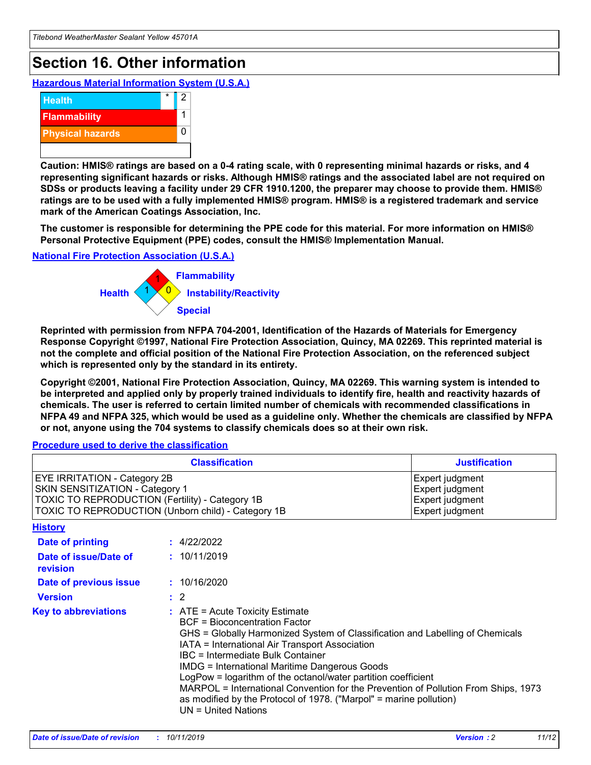## **Section 16. Other information**

**Hazardous Material Information System (U.S.A.)**



**Caution: HMIS® ratings are based on a 0-4 rating scale, with 0 representing minimal hazards or risks, and 4 representing significant hazards or risks. Although HMIS® ratings and the associated label are not required on SDSs or products leaving a facility under 29 CFR 1910.1200, the preparer may choose to provide them. HMIS® ratings are to be used with a fully implemented HMIS® program. HMIS® is a registered trademark and service mark of the American Coatings Association, Inc.**

**The customer is responsible for determining the PPE code for this material. For more information on HMIS® Personal Protective Equipment (PPE) codes, consult the HMIS® Implementation Manual.**

#### **National Fire Protection Association (U.S.A.)**



**Reprinted with permission from NFPA 704-2001, Identification of the Hazards of Materials for Emergency Response Copyright ©1997, National Fire Protection Association, Quincy, MA 02269. This reprinted material is not the complete and official position of the National Fire Protection Association, on the referenced subject which is represented only by the standard in its entirety.**

**Copyright ©2001, National Fire Protection Association, Quincy, MA 02269. This warning system is intended to be interpreted and applied only by properly trained individuals to identify fire, health and reactivity hazards of chemicals. The user is referred to certain limited number of chemicals with recommended classifications in NFPA 49 and NFPA 325, which would be used as a guideline only. Whether the chemicals are classified by NFPA or not, anyone using the 704 systems to classify chemicals does so at their own risk.**

**Procedure used to derive the classification**

|                                                                                                                    | <b>Classification</b>                                                                                                                            | <b>Justification</b>                                                                                                                                                                                                                                                                                                                                                                                                 |  |
|--------------------------------------------------------------------------------------------------------------------|--------------------------------------------------------------------------------------------------------------------------------------------------|----------------------------------------------------------------------------------------------------------------------------------------------------------------------------------------------------------------------------------------------------------------------------------------------------------------------------------------------------------------------------------------------------------------------|--|
| EYE IRRITATION - Category 2B<br>SKIN SENSITIZATION - Category 1<br>TOXIC TO REPRODUCTION (Fertility) - Category 1B | TOXIC TO REPRODUCTION (Unborn child) - Category 1B                                                                                               | Expert judgment<br>Expert judgment<br>Expert judgment<br>Expert judgment                                                                                                                                                                                                                                                                                                                                             |  |
| <b>History</b>                                                                                                     |                                                                                                                                                  |                                                                                                                                                                                                                                                                                                                                                                                                                      |  |
| Date of printing                                                                                                   | : 4/22/2022                                                                                                                                      |                                                                                                                                                                                                                                                                                                                                                                                                                      |  |
| Date of issue/Date of<br>revision                                                                                  | : 10/11/2019                                                                                                                                     |                                                                                                                                                                                                                                                                                                                                                                                                                      |  |
| Date of previous issue                                                                                             | : 10/16/2020                                                                                                                                     |                                                                                                                                                                                                                                                                                                                                                                                                                      |  |
| <b>Version</b>                                                                                                     | $\therefore$ 2                                                                                                                                   |                                                                                                                                                                                                                                                                                                                                                                                                                      |  |
| <b>Key to abbreviations</b>                                                                                        | $\therefore$ ATE = Acute Toxicity Estimate<br><b>BCF</b> = Bioconcentration Factor<br>IBC = Intermediate Bulk Container<br>$UN = United Nations$ | GHS = Globally Harmonized System of Classification and Labelling of Chemicals<br>IATA = International Air Transport Association<br><b>IMDG = International Maritime Dangerous Goods</b><br>LogPow = logarithm of the octanol/water partition coefficient<br>MARPOL = International Convention for the Prevention of Pollution From Ships, 1973<br>as modified by the Protocol of 1978. ("Marpol" = marine pollution) |  |